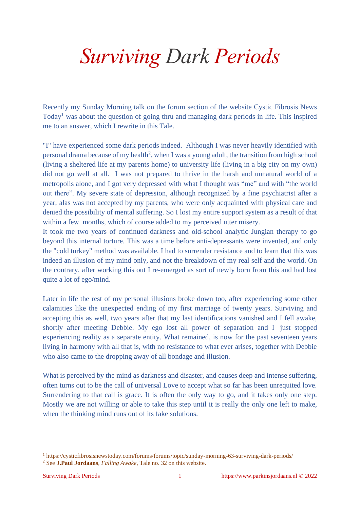## *Surviving Dark Periods*

Recently my Sunday Morning talk on the forum section of the website Cystic Fibrosis News Today<sup>1</sup> was about the question of going thru and managing dark periods in life. This inspired me to an answer, which I rewrite in this Tale.

"I" have experienced some dark periods indeed. Although I was never heavily identified with personal drama because of my health<sup>2</sup>, when I was a young adult, the transition from high school (living a sheltered life at my parents home) to university life (living in a big city on my own) did not go well at all. I was not prepared to thrive in the harsh and unnatural world of a metropolis alone, and I got very depressed with what I thought was "me" and with "the world out there". My severe state of depression, although recognized by a fine psychiatrist after a year, alas was not accepted by my parents, who were only acquainted with physical care and denied the possibility of mental suffering. So I lost my entire support system as a result of that within a few months, which of course added to my perceived utter misery.

It took me two years of continued darkness and old-school analytic Jungian therapy to go beyond this internal torture. This was a time before anti-depressants were invented, and only the "cold turkey" method was available. I had to surrender resistance and to learn that this was indeed an illusion of my mind only, and not the breakdown of my real self and the world. On the contrary, after working this out I re-emerged as sort of newly born from this and had lost quite a lot of ego/mind.

Later in life the rest of my personal illusions broke down too, after experiencing some other calamities like the unexpected ending of my first marriage of twenty years. Surviving and accepting this as well, two years after that my last identifications vanished and I fell awake, shortly after meeting Debbie. My ego lost all power of separation and I just stopped experiencing reality as a separate entity. What remained, is now for the past seventeen years living in harmony with all that is, with no resistance to what ever arises, together with Debbie who also came to the dropping away of all bondage and illusion.

What is perceived by the mind as darkness and disaster, and causes deep and intense suffering, often turns out to be the call of universal Love to accept what so far has been unrequited love. Surrendering to that call is grace. It is often the only way to go, and it takes only one step. Mostly we are not willing or able to take this step until it is really the only one left to make, when the thinking mind runs out of its fake solutions.

<sup>&</sup>lt;sup>1</sup> <https://cysticfibrosisnewstoday.com/forums/forums/topic/sunday-morning-63-surviving-dark-periods/>

<sup>2</sup> See **J.Paul Jordaans**, *Falling Awake*, Tale no. 32 on this website.